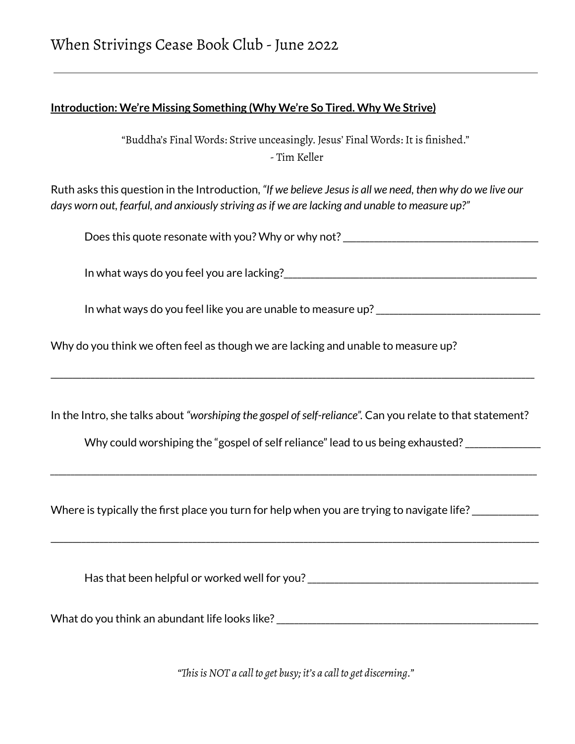# **Introduction: We're Missing Something (Why We're So Tired. Why We Strive)**

"Buddha's Final Words: Strive unceasingly. Jesus' Final Words: It is finished." - Tim Keller

Ruth asks this question in the Introduction, *"If we believe Jesusis all we need, then why do we live our days worn out, fearful, and anxiously striving asif we are lacking and unable to measure up?"*

Does this quote resonate with you? Why or why not? \_\_\_\_\_\_\_\_\_\_\_\_\_\_\_\_\_\_\_\_\_\_\_\_\_\_\_\_\_

In what ways do you feel you are lacking?\_\_\_\_\_\_\_\_\_\_\_\_\_\_\_\_\_\_\_\_\_\_\_\_\_\_\_\_\_\_\_\_\_\_\_\_\_\_\_\_\_\_\_\_\_\_\_\_\_\_\_\_\_\_\_\_\_

In what ways do you feel like you are unable to measure up? \_\_\_\_\_\_\_\_\_\_\_\_\_\_\_\_\_\_\_\_\_

Why do you think we often feel as though we are lacking and unable to measure up?

In the Intro, she talks about "worshiping the gospel of self-reliance". Can you relate to that statement?

*\_\_\_\_\_\_\_\_\_\_\_\_\_\_\_\_\_\_\_\_\_\_\_\_\_\_\_\_\_\_\_\_\_\_\_\_\_\_\_\_\_\_\_\_\_\_\_\_\_\_\_\_\_\_\_\_\_\_\_\_\_\_\_\_\_\_\_\_\_\_\_\_\_\_\_\_\_\_\_\_\_\_\_\_\_\_\_\_\_\_\_\_\_\_\_\_\_\_\_\_\_\_\_\_\_\_\_\_\_\_\_\_\_\_\_\_\_\_\_*

\_\_\_\_\_\_\_\_\_\_\_\_\_\_\_\_\_\_\_\_\_\_\_\_\_\_\_\_\_\_\_\_\_\_\_\_\_\_\_\_\_\_\_\_\_\_\_\_\_\_\_\_\_\_\_\_\_\_\_\_\_\_\_\_\_\_\_\_\_\_\_\_\_\_\_\_\_\_\_\_\_\_\_\_\_\_\_\_\_\_\_\_\_\_\_\_\_\_\_\_\_\_\_\_\_\_\_\_\_\_

\_\_\_\_\_\_\_\_\_\_\_\_\_\_\_\_\_\_\_\_\_\_\_\_\_\_\_\_\_\_\_\_\_\_\_\_\_\_\_\_\_\_\_\_\_\_\_\_\_\_\_\_\_\_\_\_\_\_\_\_\_\_\_\_\_\_\_\_\_\_\_\_\_\_\_\_\_\_\_\_\_\_\_\_\_\_\_\_\_\_\_\_\_\_\_\_\_\_\_\_\_\_\_\_\_\_\_\_\_

Why could worshiping the "gospel of self reliance" lead to us being exhausted? \_\_\_\_\_\_\_\_\_\_\_\_\_

Where is typically the first place you turn for help when you are trying to navigate life? \_\_\_\_\_\_\_\_\_\_\_\_\_\_

Has that been helpful or worked well for you? \_\_\_\_\_\_\_\_\_\_\_\_\_\_\_\_\_\_\_\_\_\_\_\_\_\_\_\_\_\_\_\_\_\_

What do you think an abundant life looks like? \_\_\_\_\_\_\_\_\_\_\_\_\_\_\_\_\_\_\_\_\_\_\_\_\_\_\_\_\_\_\_\_\_

*"ThisisNOT a call to get busy; it's a call to get discerning."*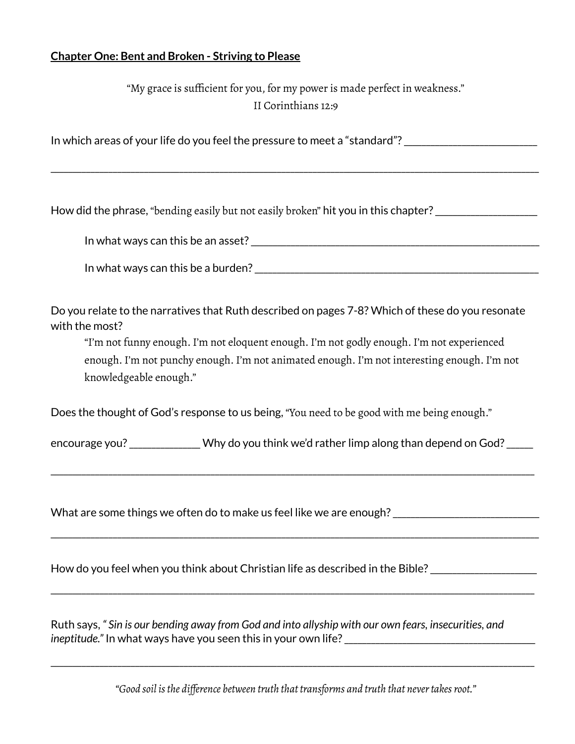### **Chapter One: Bent and Broken - Striving to Please**

"My grace is sufficient for you, for my power is made perfect in weakness." II Corinthians 12:9

In which areas of your life do you feel the pressure to meet a "standard"?

\_\_\_\_\_\_\_\_\_\_\_\_\_\_\_\_\_\_\_\_\_\_\_\_\_\_\_\_\_\_\_\_\_\_\_\_\_\_\_\_\_\_\_\_\_\_\_\_\_\_\_\_\_\_\_\_\_\_\_\_\_\_\_\_\_\_\_\_\_\_\_\_\_\_\_\_\_\_\_\_\_\_\_\_\_\_\_\_\_\_\_\_\_\_\_\_\_\_\_\_\_\_\_\_\_\_\_\_\_\_

How did the phrase, "bending easily but not easily broken" hit you in this chapter? \_\_\_\_\_\_\_\_\_\_\_\_\_\_\_\_\_\_\_\_\_\_\_\_\_\_

In what ways can this be an asset?\_\_\_\_\_\_\_\_\_\_\_\_\_\_\_\_\_\_\_\_\_\_\_\_\_\_\_\_\_\_\_\_\_\_\_\_\_\_\_\_\_\_\_\_\_\_\_\_\_\_\_\_\_\_\_\_\_\_\_\_\_\_\_\_\_

In what ways can this be a burden?  $\frac{1}{2}$   $\frac{1}{2}$   $\frac{1}{2}$   $\frac{1}{2}$   $\frac{1}{2}$   $\frac{1}{2}$   $\frac{1}{2}$   $\frac{1}{2}$   $\frac{1}{2}$   $\frac{1}{2}$   $\frac{1}{2}$   $\frac{1}{2}$   $\frac{1}{2}$   $\frac{1}{2}$   $\frac{1}{2}$   $\frac{1}{2}$   $\frac{1}{2}$   $\frac{1}{2}$   $\frac{1}{$ 

Do you relate to the narratives that Ruth described on pages 7-8? Which of these do you resonate with the most?

"I'm not funny enough. I'm not eloquent enough. I'm not godly enough. I'm not experienced enough. I'm not punchy enough. I'm not animated enough. I'm not interesting enough. I'm not knowledgeable enough."

Does the thought of God's response to us being, "You need to be good with me being enough."

encourage you?\_\_\_\_\_\_\_\_\_\_\_\_\_\_\_\_ Why do you think we'd rather limp along than depend on God?\_\_\_\_\_\_

\_\_\_\_\_\_\_\_\_\_\_\_\_\_\_\_\_\_\_\_\_\_\_\_\_\_\_\_\_\_\_\_\_\_\_\_\_\_\_\_\_\_\_\_\_\_\_\_\_\_\_\_\_\_\_\_\_\_\_\_\_\_\_\_\_\_\_\_\_\_\_\_\_\_\_\_\_\_\_\_\_\_\_\_\_\_\_\_\_\_\_\_\_\_\_\_\_\_\_\_\_\_\_\_\_\_\_\_\_

\_\_\_\_\_\_\_\_\_\_\_\_\_\_\_\_\_\_\_\_\_\_\_\_\_\_\_\_\_\_\_\_\_\_\_\_\_\_\_\_\_\_\_\_\_\_\_\_\_\_\_\_\_\_\_\_\_\_\_\_\_\_\_\_\_\_\_\_\_\_\_\_\_\_\_\_\_\_\_\_\_\_\_\_\_\_\_\_\_\_\_\_\_\_\_\_\_\_\_\_\_\_\_\_\_\_\_\_\_\_

\_\_\_\_\_\_\_\_\_\_\_\_\_\_\_\_\_\_\_\_\_\_\_\_\_\_\_\_\_\_\_\_\_\_\_\_\_\_\_\_\_\_\_\_\_\_\_\_\_\_\_\_\_\_\_\_\_\_\_\_\_\_\_\_\_\_\_\_\_\_\_\_\_\_\_\_\_\_\_\_\_\_\_\_\_\_\_\_\_\_\_\_\_\_\_\_\_\_\_\_\_\_\_\_\_\_\_\_\_

What are some things we often do to make us feel like we are enough?

How do you feel when you think about Christian life as described in the Bible?\_\_\_\_\_\_\_\_\_\_\_\_\_\_\_\_\_\_\_\_\_\_\_\_

Ruth says, *" Sin is our bending away from God and into allyship with our own fears, insecurities, and ineptitude.*" In what ways have you seen this in your own life?

*"Good soil isthe difference between truth that transforms and truth that nevertakesroot."*

\_\_\_\_\_\_\_\_\_\_\_\_\_\_\_\_\_\_\_\_\_\_\_\_\_\_\_\_\_\_\_\_\_\_\_\_\_\_\_\_\_\_\_\_\_\_\_\_\_\_\_\_\_\_\_\_\_\_\_\_\_\_\_\_\_\_\_\_\_\_\_\_\_\_\_\_\_\_\_\_\_\_\_\_\_\_\_\_\_\_\_\_\_\_\_\_\_\_\_\_\_\_\_\_\_\_\_\_\_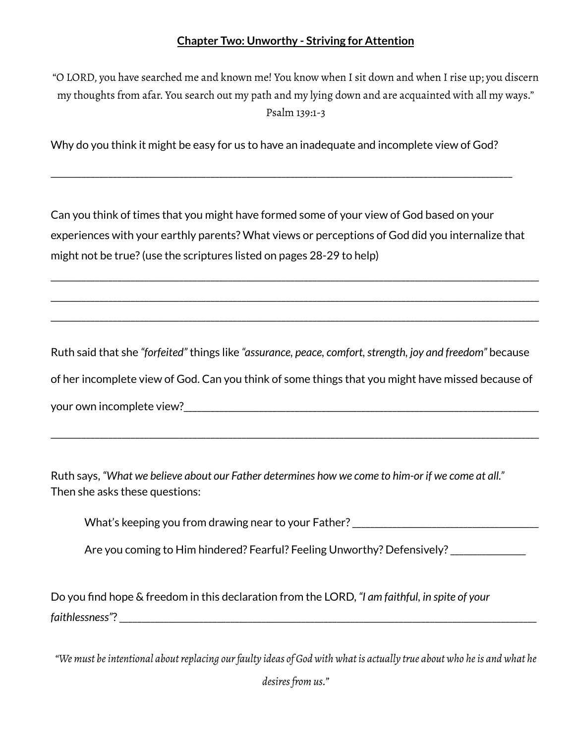## **Chapter Two: Unworthy - Striving for Attention**

"O LORD, you have searched me and known me! You know when I sit down and when I rise up; you discern my thoughts from afar. You search out my path and my lying down and are acquainted with all my ways." Psalm 139:1-3

Why do you think it might be easy for us to have an inadequate and incomplete view of God?

\_\_\_\_\_\_\_\_\_\_\_\_\_\_\_\_\_\_\_\_\_\_\_\_\_\_\_\_\_\_\_\_\_\_\_\_\_\_\_\_\_\_\_\_\_\_\_\_\_\_\_\_\_\_\_\_\_\_\_\_\_\_\_\_\_\_\_\_\_\_\_\_\_\_\_\_\_\_\_\_\_\_\_\_\_\_\_\_\_\_\_\_\_\_\_\_\_\_\_\_\_\_\_\_

Can you think of times that you might have formed some of your view of God based on your experiences with your earthly parents? What views or perceptions of God did you internalize that might not be true?(use the scriptures listed on pages 28-29 to help)

\_\_\_\_\_\_\_\_\_\_\_\_\_\_\_\_\_\_\_\_\_\_\_\_\_\_\_\_\_\_\_\_\_\_\_\_\_\_\_\_\_\_\_\_\_\_\_\_\_\_\_\_\_\_\_\_\_\_\_\_\_\_\_\_\_\_\_\_\_\_\_\_\_\_\_\_\_\_\_\_\_\_\_\_\_\_\_\_\_\_\_\_\_\_\_\_\_\_\_\_\_\_\_\_\_\_\_\_\_\_

\_\_\_\_\_\_\_\_\_\_\_\_\_\_\_\_\_\_\_\_\_\_\_\_\_\_\_\_\_\_\_\_\_\_\_\_\_\_\_\_\_\_\_\_\_\_\_\_\_\_\_\_\_\_\_\_\_\_\_\_\_\_\_\_\_\_\_\_\_\_\_\_\_\_\_\_\_\_\_\_\_\_\_\_\_\_\_\_\_\_\_\_\_\_\_\_\_\_\_\_\_\_\_\_\_\_\_\_\_\_

\_\_\_\_\_\_\_\_\_\_\_\_\_\_\_\_\_\_\_\_\_\_\_\_\_\_\_\_\_\_\_\_\_\_\_\_\_\_\_\_\_\_\_\_\_\_\_\_\_\_\_\_\_\_\_\_\_\_\_\_\_\_\_\_\_\_\_\_\_\_\_\_\_\_\_\_\_\_\_\_\_\_\_\_\_\_\_\_\_\_\_\_\_\_\_\_\_\_\_\_\_\_\_\_\_\_\_\_\_\_

Ruth said that she *"forfeited"* things like *"assurance, peace, comfort,strength, joy and freedom"* because of her incomplete view of God. Can you think of some things that you might have missed because of your own incomplete view?<br>

\_\_\_\_\_\_\_\_\_\_\_\_\_\_\_\_\_\_\_\_\_\_\_\_\_\_\_\_\_\_\_\_\_\_\_\_\_\_\_\_\_\_\_\_\_\_\_\_\_\_\_\_\_\_\_\_\_\_\_\_\_\_\_\_\_\_\_\_\_\_\_\_\_\_\_\_\_\_\_\_\_\_\_\_\_\_\_\_\_\_\_\_\_\_\_\_\_\_\_\_\_\_\_\_\_\_\_\_\_\_

Ruth says, *"What we believe about our Father determines how we come to him-or if we come at all."* Then she asks these questions:

What's keeping you from drawing near to your Father? \_\_\_\_\_\_\_\_\_\_\_\_\_\_\_\_\_\_\_\_\_\_\_\_\_\_\_

Are you coming to Him hindered? Fearful? Feeling Unworthy? Defensively?\_\_\_\_\_\_\_\_\_\_\_\_\_\_\_\_\_

Do you find hope & freedom in this declaration from the LORD, *"I am faithful, in spite of your faithlessness"*?\_\_\_\_\_\_\_\_\_\_\_\_\_\_\_\_\_\_\_\_\_\_\_\_\_\_\_\_\_\_\_\_\_\_\_\_\_\_\_\_\_\_\_\_\_\_\_\_\_\_\_\_\_\_\_\_\_\_\_\_\_\_\_\_\_\_\_\_\_\_\_\_\_\_\_\_\_\_\_\_\_\_\_\_\_\_\_\_\_\_\_\_\_\_

"We must be intentional about replacing our faulty ideas of God with what is actually true about who he is and what he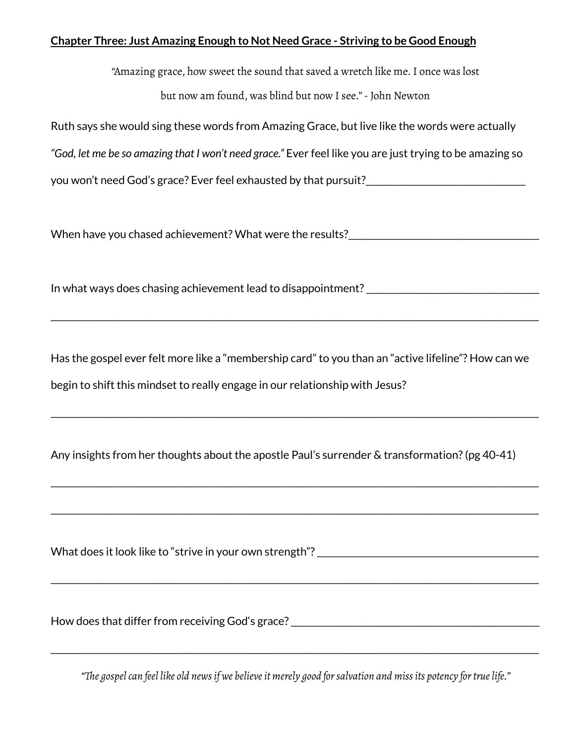#### **Chapter Three: Just Amazing Enough to Not Need Grace - Striving to be Good Enough**

"Amazing grace, how sweet the sound that saved a wretch like me.I once was lost but now am found, was blind but now I see."-John Newton

Ruth says she would sing these words from Amazing Grace, but live like the words were actually

*"God, let me be so amazing that I won't need grace."* Ever feel like you are just trying to be amazing so

you won't need God's grace? Ever feel exhausted by that pursuit? The contract of the contract of the system of

When have you chased achievement? What were the results?

In what ways does chasing achievement lead to disappointment? \_\_\_\_\_\_\_\_\_\_\_\_\_\_\_\_\_\_

Has the gospel ever felt more like a "membership card" to you than an "active lifeline"? How can we begin to shift this mindset to really engage in our relationship with Jesus?

\_\_\_\_\_\_\_\_\_\_\_\_\_\_\_\_\_\_\_\_\_\_\_\_\_\_\_\_\_\_\_\_\_\_\_\_\_\_\_\_\_\_\_\_\_\_\_\_\_\_\_\_\_\_\_\_\_\_\_\_\_\_\_\_\_\_\_\_\_\_\_\_\_\_\_\_\_\_\_\_\_\_\_\_\_\_\_\_\_\_\_\_\_\_\_\_\_\_\_\_\_\_\_\_\_\_\_\_\_\_

\_\_\_\_\_\_\_\_\_\_\_\_\_\_\_\_\_\_\_\_\_\_\_\_\_\_\_\_\_\_\_\_\_\_\_\_\_\_\_\_\_\_\_\_\_\_\_\_\_\_\_\_\_\_\_\_\_\_\_\_\_\_\_\_\_\_\_\_\_\_\_\_\_\_\_\_\_\_\_\_\_\_\_\_\_\_\_\_\_\_\_\_\_\_\_\_\_\_\_\_\_\_\_\_\_\_\_\_\_\_

\_\_\_\_\_\_\_\_\_\_\_\_\_\_\_\_\_\_\_\_\_\_\_\_\_\_\_\_\_\_\_\_\_\_\_\_\_\_\_\_\_\_\_\_\_\_\_\_\_\_\_\_\_\_\_\_\_\_\_\_\_\_\_\_\_\_\_\_\_\_\_\_\_\_\_\_\_\_\_\_\_\_\_\_\_\_\_\_\_\_\_\_\_\_\_\_\_\_\_\_\_\_\_\_\_\_\_\_\_\_

\_\_\_\_\_\_\_\_\_\_\_\_\_\_\_\_\_\_\_\_\_\_\_\_\_\_\_\_\_\_\_\_\_\_\_\_\_\_\_\_\_\_\_\_\_\_\_\_\_\_\_\_\_\_\_\_\_\_\_\_\_\_\_\_\_\_\_\_\_\_\_\_\_\_\_\_\_\_\_\_\_\_\_\_\_\_\_\_\_\_\_\_\_\_\_\_\_\_\_\_\_\_\_\_\_\_\_\_\_\_

\_\_\_\_\_\_\_\_\_\_\_\_\_\_\_\_\_\_\_\_\_\_\_\_\_\_\_\_\_\_\_\_\_\_\_\_\_\_\_\_\_\_\_\_\_\_\_\_\_\_\_\_\_\_\_\_\_\_\_\_\_\_\_\_\_\_\_\_\_\_\_\_\_\_\_\_\_\_\_\_\_\_\_\_\_\_\_\_\_\_\_\_\_\_\_\_\_\_\_\_\_\_\_\_\_\_\_\_\_\_

Any insights from her thoughts about the apostle Paul's surrender & transformation?(pg 40-41)

What does it look like to "strive in your own strength"?\_\_\_\_\_\_\_\_\_\_\_\_\_\_\_\_\_\_\_\_\_\_\_\_\_\_\_\_\_\_\_\_\_\_\_\_\_\_\_\_\_\_\_\_\_\_\_\_\_\_

How does that differ from receiving God's grace? \_\_\_\_\_\_\_\_\_\_\_\_\_\_\_\_\_\_\_\_\_\_\_\_\_\_\_\_\_\_\_

*"The gospelcan feel like old newsif we believeit merely good forsalvation and missits potency fortruelife."*

\_\_\_\_\_\_\_\_\_\_\_\_\_\_\_\_\_\_\_\_\_\_\_\_\_\_\_\_\_\_\_\_\_\_\_\_\_\_\_\_\_\_\_\_\_\_\_\_\_\_\_\_\_\_\_\_\_\_\_\_\_\_\_\_\_\_\_\_\_\_\_\_\_\_\_\_\_\_\_\_\_\_\_\_\_\_\_\_\_\_\_\_\_\_\_\_\_\_\_\_\_\_\_\_\_\_\_\_\_\_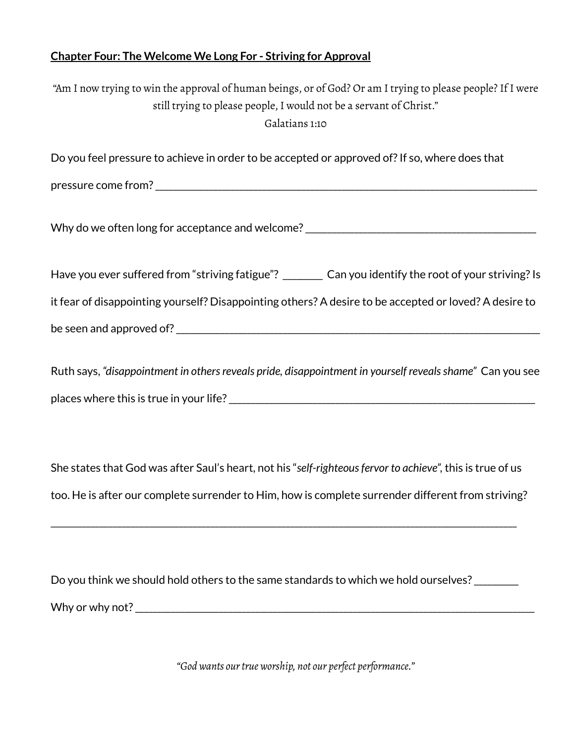## **Chapter Four: The Welcome We Long For - Striving for Approval**

| "Am I now trying to win the approval of human beings, or of God? Or am I trying to please people? If I were<br>still trying to please people, I would not be a servant of Christ."<br>Galatians 1:10             |
|------------------------------------------------------------------------------------------------------------------------------------------------------------------------------------------------------------------|
| Do you feel pressure to achieve in order to be accepted or approved of? If so, where does that                                                                                                                   |
|                                                                                                                                                                                                                  |
| Why do we often long for acceptance and welcome? ________________________________                                                                                                                                |
| Have you ever suffered from "striving fatigue"? ________ Can you identify the root of your striving? Is                                                                                                          |
| it fear of disappointing yourself? Disappointing others? A desire to be accepted or loved? A desire to                                                                                                           |
|                                                                                                                                                                                                                  |
| Ruth says, "disappointment in others reveals pride, disappointment in yourself reveals shame" Can you see                                                                                                        |
| She states that God was after Saul's heart, not his "self-righteous fervor to achieve", this is true of us<br>too. He is after our complete surrender to Him, how is complete surrender different from striving? |

Do you think we should hold others to the same standards to which we hold ourselves? \_\_\_\_\_\_\_\_ Why or why not?\_\_\_\_\_\_\_\_\_\_\_\_\_\_\_\_\_\_\_\_\_\_\_\_\_\_\_\_\_\_\_\_\_\_\_\_\_\_\_\_\_\_\_\_\_\_\_\_\_\_\_\_\_\_\_\_\_\_\_\_\_\_\_\_\_\_\_\_\_\_\_\_\_\_\_\_\_\_\_\_\_\_\_\_\_\_\_\_\_\_

\_\_\_\_\_\_\_\_\_\_\_\_\_\_\_\_\_\_\_\_\_\_\_\_\_\_\_\_\_\_\_\_\_\_\_\_\_\_\_\_\_\_\_\_\_\_\_\_\_\_\_\_\_\_\_\_\_\_\_\_\_\_\_\_\_\_\_\_\_\_\_\_\_\_\_\_\_\_\_\_\_\_\_\_\_\_\_\_\_\_\_\_\_\_\_\_\_\_\_\_\_\_\_\_\_

*"God wants ourtrue worship, not our perfect performance."*